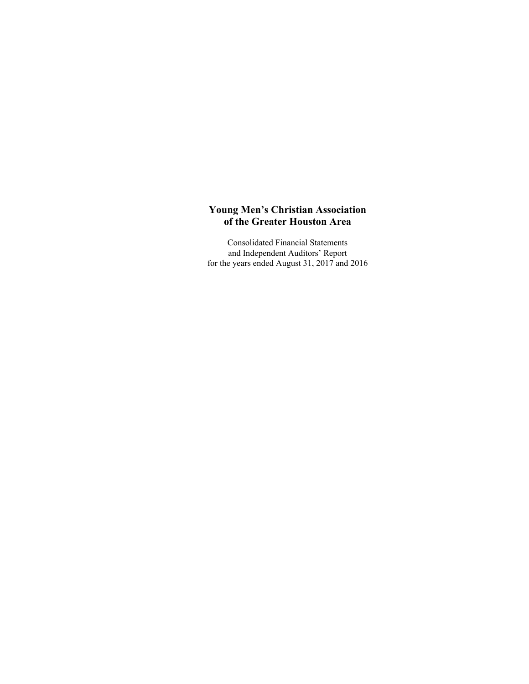Consolidated Financial Statements and Independent Auditors' Report for the years ended August 31, 2017 and 2016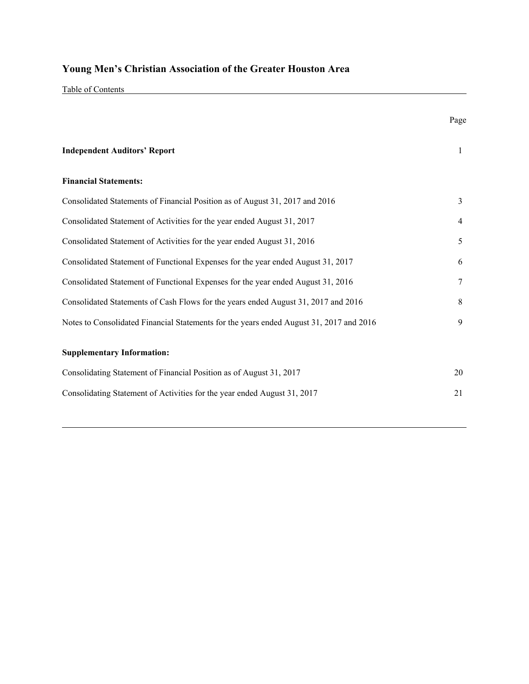Table of Contents

|                                                                                         | Page           |
|-----------------------------------------------------------------------------------------|----------------|
| <b>Independent Auditors' Report</b>                                                     | $\mathbf{1}$   |
| <b>Financial Statements:</b>                                                            |                |
| Consolidated Statements of Financial Position as of August 31, 2017 and 2016            | $\overline{3}$ |
| Consolidated Statement of Activities for the year ended August 31, 2017                 | 4              |
| Consolidated Statement of Activities for the year ended August 31, 2016                 | 5              |
| Consolidated Statement of Functional Expenses for the year ended August 31, 2017        | 6              |
| Consolidated Statement of Functional Expenses for the year ended August 31, 2016        | 7              |
| Consolidated Statements of Cash Flows for the years ended August 31, 2017 and 2016      | 8              |
| Notes to Consolidated Financial Statements for the years ended August 31, 2017 and 2016 | 9              |
| <b>Supplementary Information:</b>                                                       |                |
| Consolidating Statement of Financial Position as of August 31, 2017                     | 20             |
| Consolidating Statement of Activities for the year ended August 31, 2017                | 21             |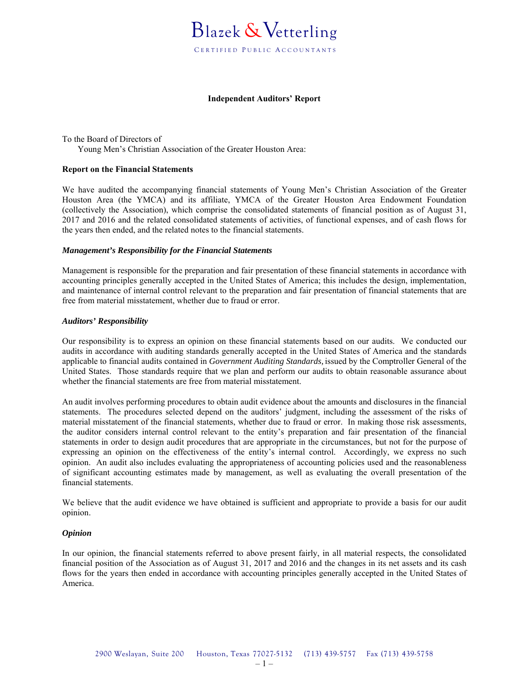

### **Independent Auditors' Report**

To the Board of Directors of Young Men's Christian Association of the Greater Houston Area:

### **Report on the Financial Statements**

We have audited the accompanying financial statements of Young Men's Christian Association of the Greater Houston Area (the YMCA) and its affiliate, YMCA of the Greater Houston Area Endowment Foundation (collectively the Association), which comprise the consolidated statements of financial position as of August 31, 2017 and 2016 and the related consolidated statements of activities, of functional expenses, and of cash flows for the years then ended, and the related notes to the financial statements.

#### *Management's Responsibility for the Financial Statements*

Management is responsible for the preparation and fair presentation of these financial statements in accordance with accounting principles generally accepted in the United States of America; this includes the design, implementation, and maintenance of internal control relevant to the preparation and fair presentation of financial statements that are free from material misstatement, whether due to fraud or error.

#### *Auditors' Responsibility*

Our responsibility is to express an opinion on these financial statements based on our audits. We conducted our audits in accordance with auditing standards generally accepted in the United States of America and the standards applicable to financial audits contained in *Government Auditing Standards,* issued by the Comptroller General of the United States. Those standards require that we plan and perform our audits to obtain reasonable assurance about whether the financial statements are free from material misstatement.

An audit involves performing procedures to obtain audit evidence about the amounts and disclosures in the financial statements. The procedures selected depend on the auditors' judgment, including the assessment of the risks of material misstatement of the financial statements, whether due to fraud or error. In making those risk assessments, the auditor considers internal control relevant to the entity's preparation and fair presentation of the financial statements in order to design audit procedures that are appropriate in the circumstances, but not for the purpose of expressing an opinion on the effectiveness of the entity's internal control. Accordingly, we express no such opinion. An audit also includes evaluating the appropriateness of accounting policies used and the reasonableness of significant accounting estimates made by management, as well as evaluating the overall presentation of the financial statements.

We believe that the audit evidence we have obtained is sufficient and appropriate to provide a basis for our audit opinion.

#### *Opinion*

In our opinion, the financial statements referred to above present fairly, in all material respects, the consolidated financial position of the Association as of August 31, 2017 and 2016 and the changes in its net assets and its cash flows for the years then ended in accordance with accounting principles generally accepted in the United States of America.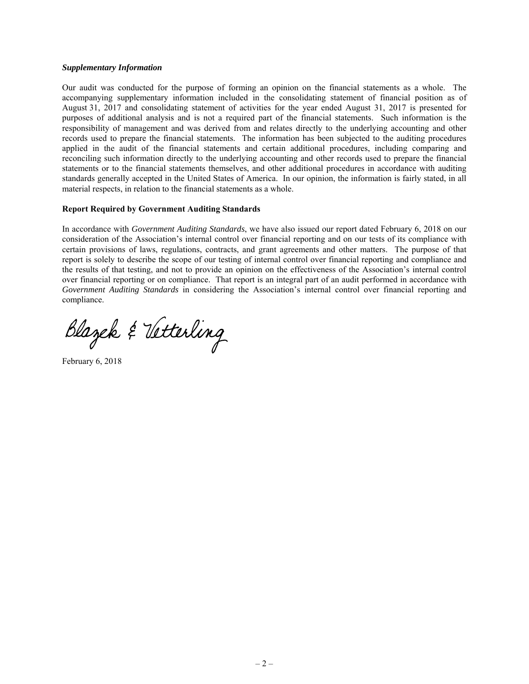## *Supplementary Information*

Our audit was conducted for the purpose of forming an opinion on the financial statements as a whole. The accompanying supplementary information included in the consolidating statement of financial position as of August 31, 2017 and consolidating statement of activities for the year ended August 31, 2017 is presented for purposes of additional analysis and is not a required part of the financial statements. Such information is the responsibility of management and was derived from and relates directly to the underlying accounting and other records used to prepare the financial statements. The information has been subjected to the auditing procedures applied in the audit of the financial statements and certain additional procedures, including comparing and reconciling such information directly to the underlying accounting and other records used to prepare the financial statements or to the financial statements themselves, and other additional procedures in accordance with auditing standards generally accepted in the United States of America. In our opinion, the information is fairly stated, in all material respects, in relation to the financial statements as a whole.

## **Report Required by Government Auditing Standards**

In accordance with *Government Auditing Standards*, we have also issued our report dated February 6, 2018 on our consideration of the Association's internal control over financial reporting and on our tests of its compliance with certain provisions of laws, regulations, contracts, and grant agreements and other matters. The purpose of that report is solely to describe the scope of our testing of internal control over financial reporting and compliance and the results of that testing, and not to provide an opinion on the effectiveness of the Association's internal control over financial reporting or on compliance. That report is an integral part of an audit performed in accordance with *Government Auditing Standards* in considering the Association's internal control over financial reporting and compliance.

Blazek & Vetterling

February 6, 2018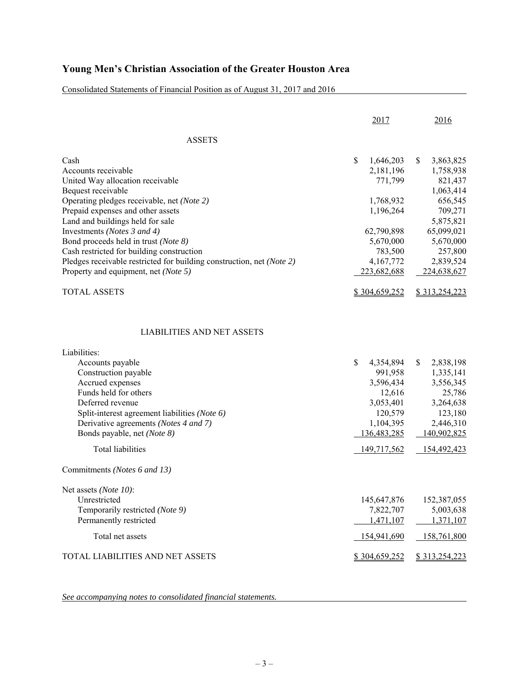Consolidated Statements of Financial Position as of August 31, 2017 and 2016

|                                                                       | 2017               | 2016            |
|-----------------------------------------------------------------------|--------------------|-----------------|
| <b>ASSETS</b>                                                         |                    |                 |
| Cash                                                                  | \$<br>1,646,203    | \$<br>3,863,825 |
| Accounts receivable                                                   | 2,181,196          | 1,758,938       |
| United Way allocation receivable                                      | 771,799            | 821,437         |
| Bequest receivable                                                    |                    | 1,063,414       |
| Operating pledges receivable, net (Note 2)                            | 1,768,932          | 656,545         |
| Prepaid expenses and other assets                                     | 1,196,264          | 709,271         |
| Land and buildings held for sale                                      |                    | 5,875,821       |
| Investments (Notes 3 and 4)                                           | 62,790,898         | 65,099,021      |
| Bond proceeds held in trust (Note 8)                                  | 5,670,000          | 5,670,000       |
| Cash restricted for building construction                             | 783,500            | 257,800         |
| Pledges receivable restricted for building construction, net (Note 2) | 4,167,772          | 2,839,524       |
| Property and equipment, net (Note 5)                                  | 223,682,688        | 224,638,627     |
| <b>TOTAL ASSETS</b>                                                   | \$304,659,252      | \$313,254,223   |
| LIABILITIES AND NET ASSETS                                            |                    |                 |
| Liabilities:                                                          |                    |                 |
| Accounts payable                                                      | \$<br>4,354,894    | \$<br>2,838,198 |
| Construction payable                                                  | 991,958            | 1,335,141       |
| Accrued expenses                                                      | 3,596,434          | 3,556,345       |
| Funds held for others                                                 | 12,616             | 25,786          |
| Deferred revenue                                                      | 3,053,401          | 3,264,638       |
| Split-interest agreement liabilities (Note 6)                         | 120,579            | 123,180         |
| Derivative agreements (Notes 4 and 7)                                 | 1,104,395          | 2,446,310       |
| Bonds payable, net (Note 8)                                           | 136,483,285        | 140,902,825     |
| <b>Total liabilities</b>                                              | <u>149,717,562</u> | 154,492,423     |
| Commitments (Notes 6 and 13)                                          |                    |                 |
| Net assets (Note 10):                                                 |                    |                 |
| Unrestricted                                                          | 145,647,876        | 152,387,055     |
| Temporarily restricted (Note 9)                                       | 7,822,707          | 5,003,638       |
| Permanently restricted                                                | 1,471,107          | 1,371,107       |
| Total net assets                                                      | 154,941,690        | 158,761,800     |
| TOTAL LIABILITIES AND NET ASSETS                                      | \$304,659,252      | \$313,254,223   |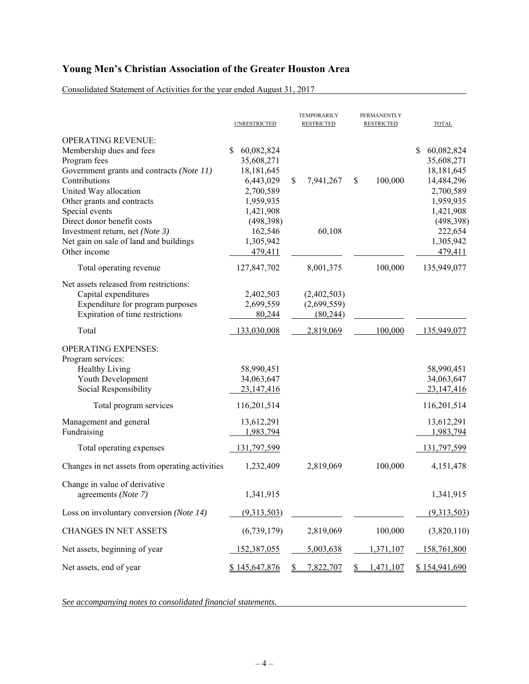Consolidated Statement of Activities for the year ended August 31, 2017

|                                                                                                                                                                                                                                                                                                                                         | <b>UNRESTRICTED</b>                                                                                                                              | TEMPORARILY<br><b>RESTRICTED</b>                    | PERMANENTLY<br><b>RESTRICTED</b> | <b>TOTAL</b>                                                                                                                                      |
|-----------------------------------------------------------------------------------------------------------------------------------------------------------------------------------------------------------------------------------------------------------------------------------------------------------------------------------------|--------------------------------------------------------------------------------------------------------------------------------------------------|-----------------------------------------------------|----------------------------------|---------------------------------------------------------------------------------------------------------------------------------------------------|
| <b>OPERATING REVENUE:</b><br>Membership dues and fees<br>Program fees<br>Government grants and contracts (Note 11)<br>Contributions<br>United Way allocation<br>Other grants and contracts<br>Special events<br>Direct donor benefit costs<br>Investment return, net (Note 3)<br>Net gain on sale of land and buildings<br>Other income | \$<br>60,082,824<br>35,608,271<br>18,181,645<br>6,443,029<br>2,700,589<br>1,959,935<br>1,421,908<br>(498,398)<br>162,546<br>1,305,942<br>479,411 | \$<br>7,941,267<br>60,108                           | 100,000<br>\$                    | \$<br>60,082,824<br>35,608,271<br>18,181,645<br>14,484,296<br>2,700,589<br>1,959,935<br>1,421,908<br>(498,398)<br>222,654<br>1,305,942<br>479,411 |
| Total operating revenue                                                                                                                                                                                                                                                                                                                 | 127,847,702                                                                                                                                      | 8,001,375                                           | 100,000                          | 135,949,077                                                                                                                                       |
| Net assets released from restrictions:<br>Capital expenditures<br>Expenditure for program purposes<br>Expiration of time restrictions<br>Total                                                                                                                                                                                          | 2,402,503<br>2,699,559<br>80,244<br>133,030,008                                                                                                  | (2,402,503)<br>(2,699,559)<br>(80,244)<br>2,819,069 | 100,000                          | 135,949,077                                                                                                                                       |
|                                                                                                                                                                                                                                                                                                                                         |                                                                                                                                                  |                                                     |                                  |                                                                                                                                                   |
| <b>OPERATING EXPENSES:</b><br>Program services:<br>Healthy Living<br>Youth Development<br>Social Responsibility<br>Total program services                                                                                                                                                                                               | 58,990,451<br>34,063,647<br>23,147,416<br>116,201,514                                                                                            |                                                     |                                  | 58,990,451<br>34,063,647<br>23,147,416<br>116,201,514                                                                                             |
|                                                                                                                                                                                                                                                                                                                                         |                                                                                                                                                  |                                                     |                                  |                                                                                                                                                   |
| Management and general<br>Fundraising                                                                                                                                                                                                                                                                                                   | 13,612,291<br>1,983,794                                                                                                                          |                                                     |                                  | 13,612,291<br>1,983,794                                                                                                                           |
| Total operating expenses                                                                                                                                                                                                                                                                                                                | 131,797,599                                                                                                                                      |                                                     |                                  | 131,797,599                                                                                                                                       |
| Changes in net assets from operating activities                                                                                                                                                                                                                                                                                         | 1,232,409                                                                                                                                        | 2,819,069                                           | 100,000                          | 4,151,478                                                                                                                                         |
| Change in value of derivative<br>agreements (Note 7)                                                                                                                                                                                                                                                                                    | 1,341,915                                                                                                                                        |                                                     |                                  | 1,341,915                                                                                                                                         |
| Loss on involuntary conversion (Note 14)                                                                                                                                                                                                                                                                                                | (9,313,503)                                                                                                                                      |                                                     |                                  | (9,313,503)                                                                                                                                       |
| <b>CHANGES IN NET ASSETS</b>                                                                                                                                                                                                                                                                                                            | (6,739,179)                                                                                                                                      | 2,819,069                                           | 100,000                          | (3,820,110)                                                                                                                                       |
| Net assets, beginning of year                                                                                                                                                                                                                                                                                                           | 152,387,055                                                                                                                                      | 5,003,638                                           | 1,371,107                        | 158,761,800                                                                                                                                       |
| Net assets, end of year                                                                                                                                                                                                                                                                                                                 | \$145,647,876                                                                                                                                    | 7,822,707<br>S.                                     | 1,471,107<br>S.                  | \$154,941,690                                                                                                                                     |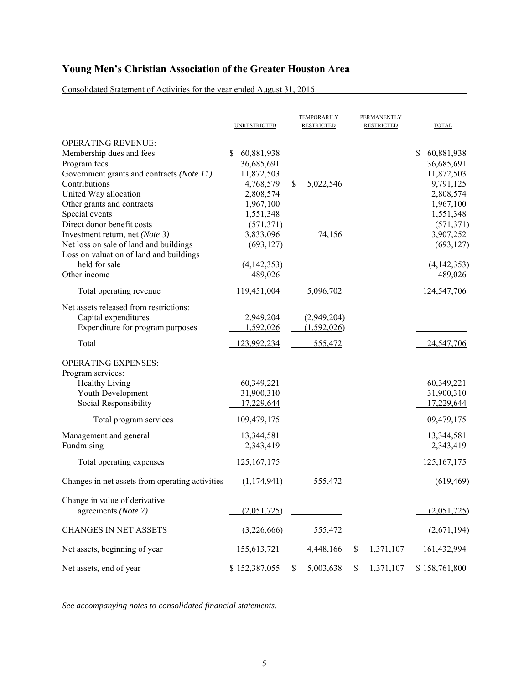Consolidated Statement of Activities for the year ended August 31, 2016

|                                                                                                                                                                                                                                                                                                                                                                                                     | <b>UNRESTRICTED</b>                                                                                                                                                   | TEMPORARILY<br><b>RESTRICTED</b>      | PERMANENTLY<br><b>RESTRICTED</b> | <b>TOTAL</b>                                                                                                                                                          |
|-----------------------------------------------------------------------------------------------------------------------------------------------------------------------------------------------------------------------------------------------------------------------------------------------------------------------------------------------------------------------------------------------------|-----------------------------------------------------------------------------------------------------------------------------------------------------------------------|---------------------------------------|----------------------------------|-----------------------------------------------------------------------------------------------------------------------------------------------------------------------|
| <b>OPERATING REVENUE:</b><br>Membership dues and fees<br>Program fees<br>Government grants and contracts (Note 11)<br>Contributions<br>United Way allocation<br>Other grants and contracts<br>Special events<br>Direct donor benefit costs<br>Investment return, net (Note 3)<br>Net loss on sale of land and buildings<br>Loss on valuation of land and buildings<br>held for sale<br>Other income | 60,881,938<br>S.<br>36,685,691<br>11,872,503<br>4,768,579<br>2,808,574<br>1,967,100<br>1,551,348<br>(571, 371)<br>3,833,096<br>(693, 127)<br>(4, 142, 353)<br>489,026 | \$<br>5,022,546<br>74,156             |                                  | 60,881,938<br>\$<br>36,685,691<br>11,872,503<br>9,791,125<br>2,808,574<br>1,967,100<br>1,551,348<br>(571, 371)<br>3,907,252<br>(693, 127)<br>(4, 142, 353)<br>489,026 |
| Total operating revenue                                                                                                                                                                                                                                                                                                                                                                             | 119,451,004                                                                                                                                                           | 5,096,702                             |                                  | 124,547,706                                                                                                                                                           |
| Net assets released from restrictions:<br>Capital expenditures<br>Expenditure for program purposes<br>Total                                                                                                                                                                                                                                                                                         | 2,949,204<br>1,592,026                                                                                                                                                | (2,949,204)<br>(1,592,026)<br>555,472 |                                  | 124,547,706                                                                                                                                                           |
|                                                                                                                                                                                                                                                                                                                                                                                                     | 123,992,234                                                                                                                                                           |                                       |                                  |                                                                                                                                                                       |
| <b>OPERATING EXPENSES:</b><br>Program services:<br><b>Healthy Living</b><br>Youth Development<br>Social Responsibility                                                                                                                                                                                                                                                                              | 60,349,221<br>31,900,310<br>17,229,644                                                                                                                                |                                       |                                  | 60,349,221<br>31,900,310<br>17,229,644                                                                                                                                |
| Total program services                                                                                                                                                                                                                                                                                                                                                                              | 109,479,175                                                                                                                                                           |                                       |                                  | 109,479,175                                                                                                                                                           |
| Management and general<br>Fundraising                                                                                                                                                                                                                                                                                                                                                               | 13,344,581<br>2,343,419                                                                                                                                               |                                       |                                  | 13,344,581<br>2,343,419                                                                                                                                               |
| Total operating expenses                                                                                                                                                                                                                                                                                                                                                                            | <u>125,167,175</u>                                                                                                                                                    |                                       |                                  | 125, 167, 175                                                                                                                                                         |
| Changes in net assets from operating activities                                                                                                                                                                                                                                                                                                                                                     | (1, 174, 941)                                                                                                                                                         | 555,472                               |                                  | (619, 469)                                                                                                                                                            |
| Change in value of derivative<br>agreements (Note 7)                                                                                                                                                                                                                                                                                                                                                | (2,051,725)                                                                                                                                                           |                                       |                                  | (2,051,725)                                                                                                                                                           |
| <b>CHANGES IN NET ASSETS</b>                                                                                                                                                                                                                                                                                                                                                                        | (3,226,666)                                                                                                                                                           | 555,472                               |                                  | (2,671,194)                                                                                                                                                           |
| Net assets, beginning of year                                                                                                                                                                                                                                                                                                                                                                       | 155,613,721                                                                                                                                                           | 4,448,166                             | 1,371,107<br>\$                  | 161,432,994                                                                                                                                                           |
| Net assets, end of year                                                                                                                                                                                                                                                                                                                                                                             | \$152,387,055                                                                                                                                                         | 5,003,638<br>S                        | 1,371,107<br>\$                  | \$158,761,800                                                                                                                                                         |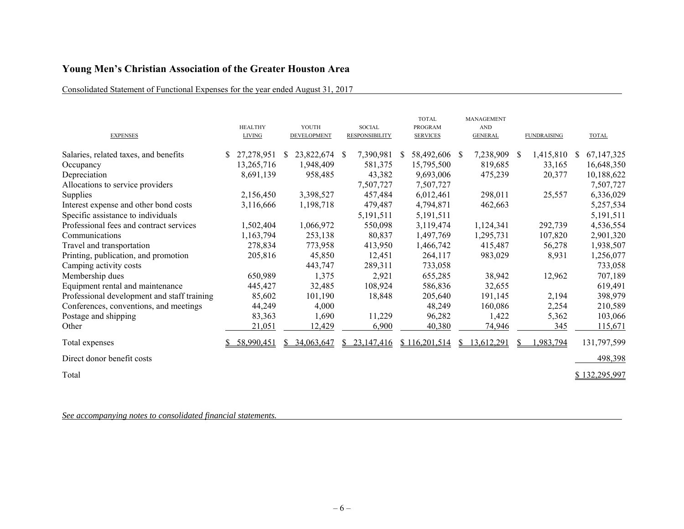## Consolidated Statement of Functional Expenses for the year ended August 31, 2017

| <b>EXPENSES</b>                             | <b>HEALTHY</b><br><b>LIVING</b> |               | YOUTH<br><b>DEVELOPMENT</b> |    | <b>SOCIAL</b><br><b>RESPONSIBILITY</b> |              | <b>TOTAL</b><br><b>PROGRAM</b><br><b>SERVICES</b> |    | MANAGEMENT<br><b>AND</b><br><b>GENERAL</b> |               | <b>FUNDRAISING</b> |    | <b>TOTAL</b>  |
|---------------------------------------------|---------------------------------|---------------|-----------------------------|----|----------------------------------------|--------------|---------------------------------------------------|----|--------------------------------------------|---------------|--------------------|----|---------------|
| Salaries, related taxes, and benefits       | 27,278,951                      | <sup>\$</sup> | 23,822,674                  | -S | 7,390,981                              | <sup>S</sup> | 58,492,606 \$                                     |    | 7,238,909                                  | <sup>\$</sup> | 1,415,810          | S. | 67, 147, 325  |
| Occupancy                                   | 13,265,716                      |               | 1,948,409                   |    | 581,375                                |              | 15,795,500                                        |    | 819,685                                    |               | 33,165             |    | 16,648,350    |
| Depreciation                                | 8,691,139                       |               | 958,485                     |    | 43,382                                 |              | 9,693,006                                         |    | 475,239                                    |               | 20,377             |    | 10,188,622    |
| Allocations to service providers            |                                 |               |                             |    | 7,507,727                              |              | 7,507,727                                         |    |                                            |               |                    |    | 7,507,727     |
| Supplies                                    | 2,156,450                       |               | 3,398,527                   |    | 457,484                                |              | 6,012,461                                         |    | 298,011                                    |               | 25,557             |    | 6,336,029     |
| Interest expense and other bond costs       | 3,116,666                       |               | 1,198,718                   |    | 479,487                                |              | 4,794,871                                         |    | 462,663                                    |               |                    |    | 5,257,534     |
| Specific assistance to individuals          |                                 |               |                             |    | 5,191,511                              |              | 5,191,511                                         |    |                                            |               |                    |    | 5,191,511     |
| Professional fees and contract services     | 1,502,404                       |               | 1,066,972                   |    | 550,098                                |              | 3,119,474                                         |    | 1,124,341                                  |               | 292,739            |    | 4,536,554     |
| Communications                              | 1,163,794                       |               | 253,138                     |    | 80,837                                 |              | 1,497,769                                         |    | 1,295,731                                  |               | 107,820            |    | 2,901,320     |
| Travel and transportation                   | 278,834                         |               | 773,958                     |    | 413,950                                |              | 1,466,742                                         |    | 415,487                                    |               | 56,278             |    | 1,938,507     |
| Printing, publication, and promotion        | 205,816                         |               | 45,850                      |    | 12,451                                 |              | 264,117                                           |    | 983,029                                    |               | 8,931              |    | 1,256,077     |
| Camping activity costs                      |                                 |               | 443,747                     |    | 289,311                                |              | 733,058                                           |    |                                            |               |                    |    | 733,058       |
| Membership dues                             | 650,989                         |               | 1,375                       |    | 2,921                                  |              | 655,285                                           |    | 38,942                                     |               | 12,962             |    | 707,189       |
| Equipment rental and maintenance            | 445,427                         |               | 32,485                      |    | 108,924                                |              | 586,836                                           |    | 32,655                                     |               |                    |    | 619,491       |
| Professional development and staff training | 85,602                          |               | 101,190                     |    | 18,848                                 |              | 205,640                                           |    | 191,145                                    |               | 2,194              |    | 398,979       |
| Conferences, conventions, and meetings      | 44,249                          |               | 4,000                       |    |                                        |              | 48,249                                            |    | 160,086                                    |               | 2,254              |    | 210,589       |
| Postage and shipping                        | 83,363                          |               | 1,690                       |    | 11,229                                 |              | 96,282                                            |    | 1,422                                      |               | 5,362              |    | 103,066       |
| Other                                       | 21,051                          |               | 12,429                      |    | 6,900                                  |              | 40,380                                            |    | 74,946                                     |               | 345                |    | 115,671       |
| Total expenses                              | 58,990,451                      | S.            | 34,063,647                  | S. | 23,147,416                             |              | \$116,201,514                                     | S. | 13,612,291                                 |               | 1,983,794          |    | 131,797,599   |
| Direct donor benefit costs                  |                                 |               |                             |    |                                        |              |                                                   |    |                                            |               |                    |    | 498,398       |
| Total                                       |                                 |               |                             |    |                                        |              |                                                   |    |                                            |               |                    |    | \$132,295,997 |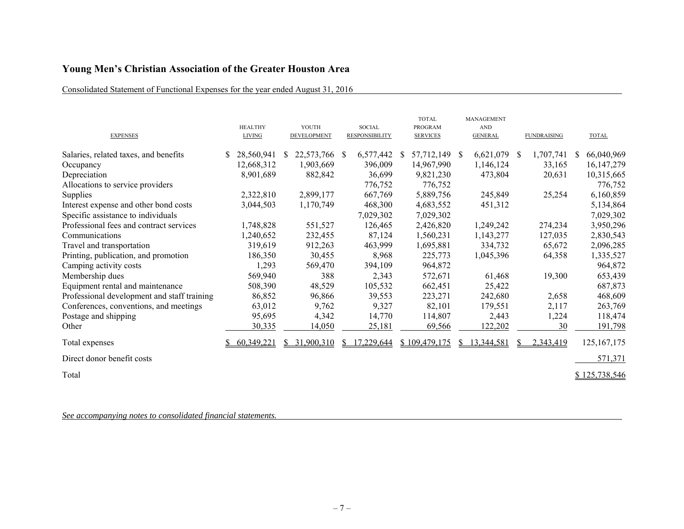## Consolidated Statement of Functional Expenses for the year ended August 31, 2016

| <b>EXPENSES</b>                             | <b>HEALTHY</b><br><b>LIVING</b> |              | YOUTH<br>DEVELOPMENT |              | <b>SOCIAL</b><br><b>RESPONSIBILITY</b> |              | <b>TOTAL</b><br><b>PROGRAM</b><br><b>SERVICES</b> |    | <b>MANAGEMENT</b><br><b>AND</b><br><b>GENERAL</b> |               | <b>FUNDRAISING</b> |    | <b>TOTAL</b>  |
|---------------------------------------------|---------------------------------|--------------|----------------------|--------------|----------------------------------------|--------------|---------------------------------------------------|----|---------------------------------------------------|---------------|--------------------|----|---------------|
| Salaries, related taxes, and benefits       | 28,560,941                      | <sup>S</sup> | 22,573,766           | <sup>S</sup> | 6,577,442                              | <sup>S</sup> | 57,712,149 \$                                     |    | 6,621,079                                         | <sup>\$</sup> | 1,707,741          | S. | 66,040,969    |
| Occupancy                                   | 12,668,312                      |              | 1,903,669            |              | 396,009                                |              | 14,967,990                                        |    | 1,146,124                                         |               | 33,165             |    | 16, 147, 279  |
| Depreciation                                | 8,901,689                       |              | 882,842              |              | 36,699                                 |              | 9,821,230                                         |    | 473,804                                           |               | 20,631             |    | 10,315,665    |
| Allocations to service providers            |                                 |              |                      |              | 776,752                                |              | 776,752                                           |    |                                                   |               |                    |    | 776,752       |
| Supplies                                    | 2,322,810                       |              | 2,899,177            |              | 667,769                                |              | 5,889,756                                         |    | 245,849                                           |               | 25,254             |    | 6,160,859     |
| Interest expense and other bond costs       | 3,044,503                       |              | 1,170,749            |              | 468,300                                |              | 4,683,552                                         |    | 451,312                                           |               |                    |    | 5,134,864     |
| Specific assistance to individuals          |                                 |              |                      |              | 7,029,302                              |              | 7,029,302                                         |    |                                                   |               |                    |    | 7,029,302     |
| Professional fees and contract services     | 1,748,828                       |              | 551,527              |              | 126,465                                |              | 2,426,820                                         |    | 1,249,242                                         |               | 274,234            |    | 3,950,296     |
| Communications                              | 1,240,652                       |              | 232,455              |              | 87,124                                 |              | 1,560,231                                         |    | 1,143,277                                         |               | 127,035            |    | 2,830,543     |
| Travel and transportation                   | 319,619                         |              | 912,263              |              | 463,999                                |              | 1,695,881                                         |    | 334,732                                           |               | 65,672             |    | 2,096,285     |
| Printing, publication, and promotion        | 186,350                         |              | 30,455               |              | 8,968                                  |              | 225,773                                           |    | 1,045,396                                         |               | 64,358             |    | 1,335,527     |
| Camping activity costs                      | 1,293                           |              | 569,470              |              | 394,109                                |              | 964,872                                           |    |                                                   |               |                    |    | 964,872       |
| Membership dues                             | 569,940                         |              | 388                  |              | 2,343                                  |              | 572,671                                           |    | 61,468                                            |               | 19,300             |    | 653,439       |
| Equipment rental and maintenance            | 508,390                         |              | 48,529               |              | 105,532                                |              | 662,451                                           |    | 25,422                                            |               |                    |    | 687,873       |
| Professional development and staff training | 86,852                          |              | 96,866               |              | 39,553                                 |              | 223,271                                           |    | 242,680                                           |               | 2,658              |    | 468,609       |
| Conferences, conventions, and meetings      | 63,012                          |              | 9,762                |              | 9,327                                  |              | 82,101                                            |    | 179,551                                           |               | 2,117              |    | 263,769       |
| Postage and shipping                        | 95,695                          |              | 4,342                |              | 14,770                                 |              | 114,807                                           |    | 2,443                                             |               | 1,224              |    | 118,474       |
| Other                                       | 30,335                          |              | 14,050               |              | 25,181                                 |              | 69,566                                            |    | 122,202                                           |               | 30                 |    | 191,798       |
| Total expenses                              | 60,349,221                      | S.           | 31,900,310           | S.           | 17,229,644                             |              | \$109,479,175                                     | S. | 13,344,581                                        |               | 2,343,419          |    | 125, 167, 175 |
| Direct donor benefit costs                  |                                 |              |                      |              |                                        |              |                                                   |    |                                                   |               |                    |    | 571,371       |
| Total                                       |                                 |              |                      |              |                                        |              |                                                   |    |                                                   |               |                    |    | \$125,738,546 |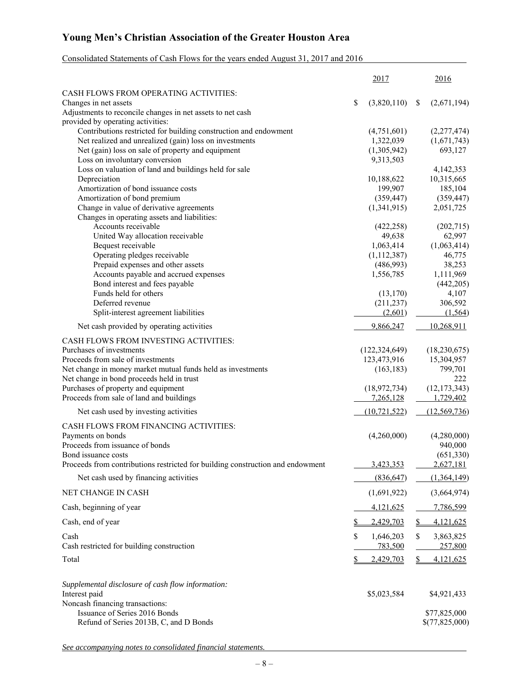## Consolidated Statements of Cash Flows for the years ended August 31, 2017 and 2016

|                                                                                                                            |    | 2017                     |              | 2016                         |
|----------------------------------------------------------------------------------------------------------------------------|----|--------------------------|--------------|------------------------------|
| CASH FLOWS FROM OPERATING ACTIVITIES:                                                                                      |    |                          |              |                              |
| Changes in net assets                                                                                                      | \$ | (3,820,110)              | <sup>S</sup> | (2,671,194)                  |
| Adjustments to reconcile changes in net assets to net cash                                                                 |    |                          |              |                              |
| provided by operating activities:                                                                                          |    |                          |              |                              |
| Contributions restricted for building construction and endowment<br>Net realized and unrealized (gain) loss on investments |    | (4,751,601)<br>1,322,039 |              | (2, 277, 474)<br>(1,671,743) |
| Net (gain) loss on sale of property and equipment                                                                          |    | (1,305,942)              |              | 693,127                      |
| Loss on involuntary conversion                                                                                             |    | 9,313,503                |              |                              |
| Loss on valuation of land and buildings held for sale                                                                      |    |                          |              | 4,142,353                    |
| Depreciation                                                                                                               |    | 10,188,622               |              | 10,315,665                   |
| Amortization of bond issuance costs                                                                                        |    | 199,907                  |              | 185,104                      |
| Amortization of bond premium                                                                                               |    | (359, 447)               |              | (359, 447)                   |
| Change in value of derivative agreements                                                                                   |    | (1,341,915)              |              | 2,051,725                    |
| Changes in operating assets and liabilities:                                                                               |    |                          |              |                              |
| Accounts receivable                                                                                                        |    | (422, 258)               |              | (202, 715)                   |
| United Way allocation receivable                                                                                           |    | 49,638                   |              | 62,997                       |
| Bequest receivable<br>Operating pledges receivable                                                                         |    | 1,063,414<br>(1,112,387) |              | (1,063,414)<br>46,775        |
| Prepaid expenses and other assets                                                                                          |    | (486,993)                |              | 38,253                       |
| Accounts payable and accrued expenses                                                                                      |    | 1,556,785                |              | 1,111,969                    |
| Bond interest and fees payable                                                                                             |    |                          |              | (442, 205)                   |
| Funds held for others                                                                                                      |    | (13, 170)                |              | 4,107                        |
| Deferred revenue                                                                                                           |    | (211, 237)               |              | 306,592                      |
| Split-interest agreement liabilities                                                                                       |    | (2,601)                  |              | (1, 564)                     |
| Net cash provided by operating activities                                                                                  |    | 9,866,247                |              | 10,268,911                   |
| CASH FLOWS FROM INVESTING ACTIVITIES:                                                                                      |    |                          |              |                              |
| Purchases of investments                                                                                                   |    | (122, 324, 649)          |              | (18,230,675)                 |
| Proceeds from sale of investments                                                                                          |    | 123,473,916              |              | 15,304,957                   |
| Net change in money market mutual funds held as investments                                                                |    | (163, 183)               |              | 799,701                      |
| Net change in bond proceeds held in trust                                                                                  |    |                          |              | 222                          |
| Purchases of property and equipment                                                                                        |    | (18,972,734)             |              | (12, 173, 343)               |
| Proceeds from sale of land and buildings                                                                                   |    | 7,265,128                |              | 1,729,402                    |
| Net cash used by investing activities                                                                                      |    | (10, 721, 522)           |              | (12, 569, 736)               |
| CASH FLOWS FROM FINANCING ACTIVITIES:                                                                                      |    |                          |              |                              |
| Payments on bonds                                                                                                          |    | (4,260,000)              |              | (4,280,000)                  |
| Proceeds from issuance of bonds                                                                                            |    |                          |              | 940,000                      |
| Bond issuance costs<br>Proceeds from contributions restricted for building construction and endowment                      |    | 3,423,353                |              | (651, 330)<br>2,627,181      |
| Net cash used by financing activities                                                                                      |    | (836, 647)               |              | (1,364,149)                  |
| NET CHANGE IN CASH                                                                                                         |    | (1,691,922)              |              | (3,664,974)                  |
|                                                                                                                            |    |                          |              |                              |
| Cash, beginning of year                                                                                                    |    | 4,121,625                |              | 7,786,599                    |
| Cash, end of year                                                                                                          |    | 2,429,703                | \$           | 4,121,625                    |
| Cash                                                                                                                       | S  | 1,646,203                | \$           | 3,863,825                    |
| Cash restricted for building construction                                                                                  |    | 783,500                  |              | 257,800                      |
| Total                                                                                                                      |    | 2,429,703                |              | 4,121,625                    |
| Supplemental disclosure of cash flow information:                                                                          |    |                          |              |                              |
| Interest paid                                                                                                              |    | \$5,023,584              |              | \$4,921,433                  |
| Noncash financing transactions:                                                                                            |    |                          |              |                              |
| Issuance of Series 2016 Bonds                                                                                              |    |                          |              | \$77,825,000                 |
| Refund of Series 2013B, C, and D Bonds                                                                                     |    |                          |              | \$(77,825,000)               |
|                                                                                                                            |    |                          |              |                              |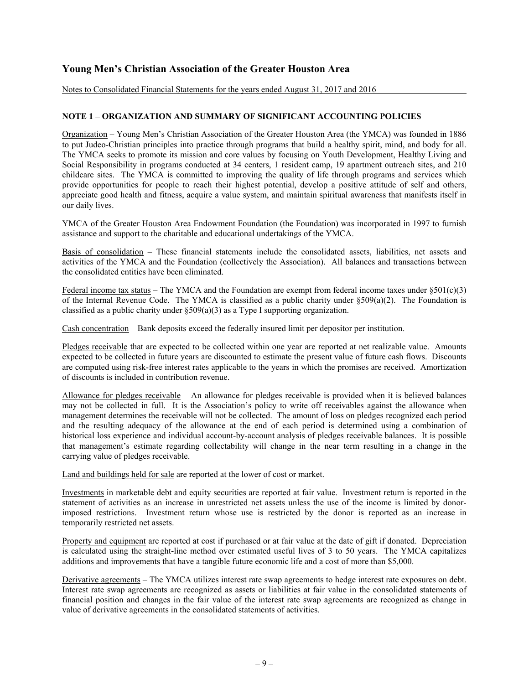Notes to Consolidated Financial Statements for the years ended August 31, 2017 and 2016

## **NOTE 1 – ORGANIZATION AND SUMMARY OF SIGNIFICANT ACCOUNTING POLICIES**

Organization – Young Men's Christian Association of the Greater Houston Area (the YMCA) was founded in 1886 to put Judeo-Christian principles into practice through programs that build a healthy spirit, mind, and body for all. The YMCA seeks to promote its mission and core values by focusing on Youth Development, Healthy Living and Social Responsibility in programs conducted at 34 centers, 1 resident camp, 19 apartment outreach sites, and 210 childcare sites. The YMCA is committed to improving the quality of life through programs and services which provide opportunities for people to reach their highest potential, develop a positive attitude of self and others, appreciate good health and fitness, acquire a value system, and maintain spiritual awareness that manifests itself in our daily lives.

YMCA of the Greater Houston Area Endowment Foundation (the Foundation) was incorporated in 1997 to furnish assistance and support to the charitable and educational undertakings of the YMCA.

Basis of consolidation – These financial statements include the consolidated assets, liabilities, net assets and activities of the YMCA and the Foundation (collectively the Association). All balances and transactions between the consolidated entities have been eliminated.

Federal income tax status – The YMCA and the Foundation are exempt from federal income taxes under  $\S501(c)(3)$ of the Internal Revenue Code. The YMCA is classified as a public charity under §509(a)(2). The Foundation is classified as a public charity under §509(a)(3) as a Type I supporting organization.

Cash concentration – Bank deposits exceed the federally insured limit per depositor per institution.

Pledges receivable that are expected to be collected within one year are reported at net realizable value. Amounts expected to be collected in future years are discounted to estimate the present value of future cash flows. Discounts are computed using risk-free interest rates applicable to the years in which the promises are received. Amortization of discounts is included in contribution revenue.

Allowance for pledges receivable – An allowance for pledges receivable is provided when it is believed balances may not be collected in full. It is the Association's policy to write off receivables against the allowance when management determines the receivable will not be collected. The amount of loss on pledges recognized each period and the resulting adequacy of the allowance at the end of each period is determined using a combination of historical loss experience and individual account-by-account analysis of pledges receivable balances. It is possible that management's estimate regarding collectability will change in the near term resulting in a change in the carrying value of pledges receivable.

Land and buildings held for sale are reported at the lower of cost or market.

Investments in marketable debt and equity securities are reported at fair value. Investment return is reported in the statement of activities as an increase in unrestricted net assets unless the use of the income is limited by donorimposed restrictions. Investment return whose use is restricted by the donor is reported as an increase in temporarily restricted net assets.

Property and equipment are reported at cost if purchased or at fair value at the date of gift if donated. Depreciation is calculated using the straight-line method over estimated useful lives of 3 to 50 years. The YMCA capitalizes additions and improvements that have a tangible future economic life and a cost of more than \$5,000.

Derivative agreements – The YMCA utilizes interest rate swap agreements to hedge interest rate exposures on debt. Interest rate swap agreements are recognized as assets or liabilities at fair value in the consolidated statements of financial position and changes in the fair value of the interest rate swap agreements are recognized as change in value of derivative agreements in the consolidated statements of activities.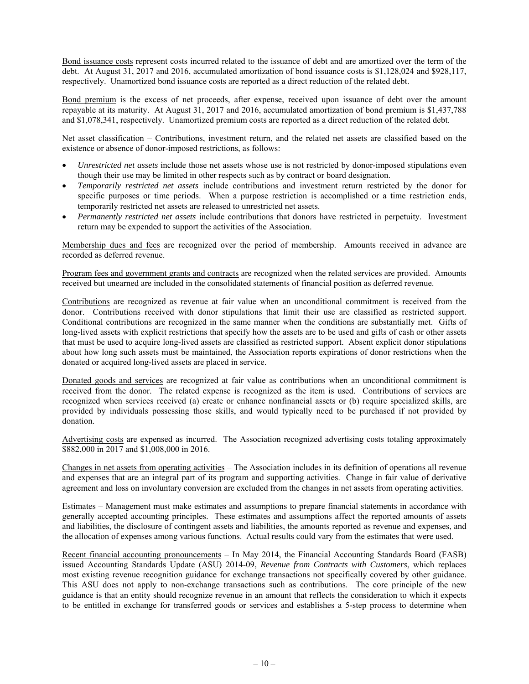Bond issuance costs represent costs incurred related to the issuance of debt and are amortized over the term of the debt. At August 31, 2017 and 2016, accumulated amortization of bond issuance costs is \$1,128,024 and \$928,117, respectively. Unamortized bond issuance costs are reported as a direct reduction of the related debt.

Bond premium is the excess of net proceeds, after expense, received upon issuance of debt over the amount repayable at its maturity. At August 31, 2017 and 2016, accumulated amortization of bond premium is \$1,437,788 and \$1,078,341, respectively. Unamortized premium costs are reported as a direct reduction of the related debt.

Net asset classification – Contributions, investment return, and the related net assets are classified based on the existence or absence of donor-imposed restrictions, as follows:

- *Unrestricted net assets* include those net assets whose use is not restricted by donor-imposed stipulations even though their use may be limited in other respects such as by contract or board designation.
- *Temporarily restricted net assets* include contributions and investment return restricted by the donor for specific purposes or time periods. When a purpose restriction is accomplished or a time restriction ends, temporarily restricted net assets are released to unrestricted net assets.
- *Permanently restricted net assets* include contributions that donors have restricted in perpetuity. Investment return may be expended to support the activities of the Association.

Membership dues and fees are recognized over the period of membership. Amounts received in advance are recorded as deferred revenue.

Program fees and government grants and contracts are recognized when the related services are provided. Amounts received but unearned are included in the consolidated statements of financial position as deferred revenue.

Contributions are recognized as revenue at fair value when an unconditional commitment is received from the donor. Contributions received with donor stipulations that limit their use are classified as restricted support. Conditional contributions are recognized in the same manner when the conditions are substantially met. Gifts of long-lived assets with explicit restrictions that specify how the assets are to be used and gifts of cash or other assets that must be used to acquire long-lived assets are classified as restricted support. Absent explicit donor stipulations about how long such assets must be maintained, the Association reports expirations of donor restrictions when the donated or acquired long-lived assets are placed in service.

Donated goods and services are recognized at fair value as contributions when an unconditional commitment is received from the donor. The related expense is recognized as the item is used. Contributions of services are recognized when services received (a) create or enhance nonfinancial assets or (b) require specialized skills, are provided by individuals possessing those skills, and would typically need to be purchased if not provided by donation.

Advertising costs are expensed as incurred. The Association recognized advertising costs totaling approximately \$882,000 in 2017 and \$1,008,000 in 2016.

Changes in net assets from operating activities – The Association includes in its definition of operations all revenue and expenses that are an integral part of its program and supporting activities. Change in fair value of derivative agreement and loss on involuntary conversion are excluded from the changes in net assets from operating activities.

Estimates – Management must make estimates and assumptions to prepare financial statements in accordance with generally accepted accounting principles. These estimates and assumptions affect the reported amounts of assets and liabilities, the disclosure of contingent assets and liabilities, the amounts reported as revenue and expenses, and the allocation of expenses among various functions. Actual results could vary from the estimates that were used.

Recent financial accounting pronouncements – In May 2014, the Financial Accounting Standards Board (FASB) issued Accounting Standards Update (ASU) 2014-09, *Revenue from Contracts with Customers*, which replaces most existing revenue recognition guidance for exchange transactions not specifically covered by other guidance. This ASU does not apply to non-exchange transactions such as contributions. The core principle of the new guidance is that an entity should recognize revenue in an amount that reflects the consideration to which it expects to be entitled in exchange for transferred goods or services and establishes a 5-step process to determine when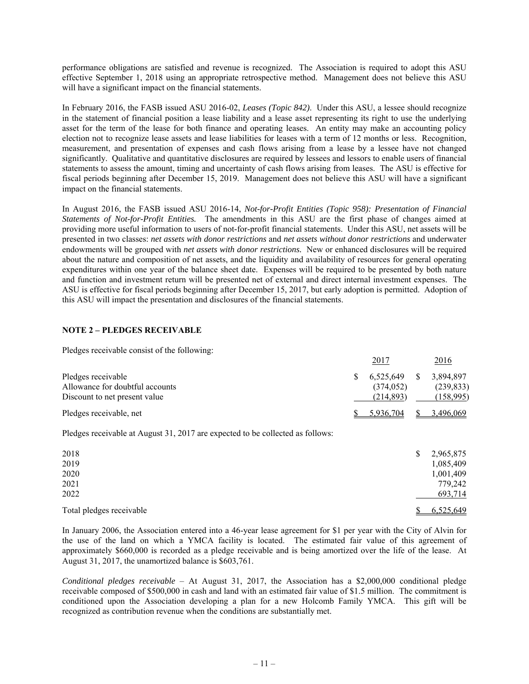performance obligations are satisfied and revenue is recognized. The Association is required to adopt this ASU effective September 1, 2018 using an appropriate retrospective method. Management does not believe this ASU will have a significant impact on the financial statements.

In February 2016, the FASB issued ASU 2016-02, *Leases (Topic 842)*. Under this ASU, a lessee should recognize in the statement of financial position a lease liability and a lease asset representing its right to use the underlying asset for the term of the lease for both finance and operating leases. An entity may make an accounting policy election not to recognize lease assets and lease liabilities for leases with a term of 12 months or less. Recognition, measurement, and presentation of expenses and cash flows arising from a lease by a lessee have not changed significantly. Qualitative and quantitative disclosures are required by lessees and lessors to enable users of financial statements to assess the amount, timing and uncertainty of cash flows arising from leases. The ASU is effective for fiscal periods beginning after December 15, 2019. Management does not believe this ASU will have a significant impact on the financial statements.

In August 2016, the FASB issued ASU 2016-14, *Not-for-Profit Entities (Topic 958): Presentation of Financial Statements of Not-for-Profit Entities.* The amendments in this ASU are the first phase of changes aimed at providing more useful information to users of not-for-profit financial statements. Under this ASU, net assets will be presented in two classes: *net assets with donor restrictions* and *net assets without donor restrictions* and underwater endowments will be grouped with *net assets with donor restrictions.* New or enhanced disclosures will be required about the nature and composition of net assets, and the liquidity and availability of resources for general operating expenditures within one year of the balance sheet date. Expenses will be required to be presented by both nature and function and investment return will be presented net of external and direct internal investment expenses. The ASU is effective for fiscal periods beginning after December 15, 2017, but early adoption is permitted. Adoption of this ASU will impact the presentation and disclosures of the financial statements.

## **NOTE 2 – PLEDGES RECEIVABLE**

Pledges receivable consist of the following:

|                                 |              | 2017      |    | <u>2016</u> |
|---------------------------------|--------------|-----------|----|-------------|
| Pledges receivable              | <sup>S</sup> | 6.525.649 | S. | 3.894.897   |
| Allowance for doubtful accounts |              | (374.052) |    | (239, 833)  |
| Discount to net present value   |              | (214.893) |    | (158,995)   |
| Pledges receivable, net         |              | 5.936.704 |    | 3.496,069   |

Pledges receivable at August 31, 2017 are expected to be collected as follows:

| 2018<br>2019             | \$<br>2,965,875<br>1,085,409 |
|--------------------------|------------------------------|
| 2020                     | 1,001,409                    |
| 2021<br>2022             | 779,242<br>693,714           |
| Total pledges receivable | 6,525,649                    |

In January 2006, the Association entered into a 46-year lease agreement for \$1 per year with the City of Alvin for the use of the land on which a YMCA facility is located. The estimated fair value of this agreement of approximately \$660,000 is recorded as a pledge receivable and is being amortized over the life of the lease. At August 31, 2017, the unamortized balance is \$603,761.

*Conditional pledges receivable* – At August 31, 2017, the Association has a \$2,000,000 conditional pledge receivable composed of \$500,000 in cash and land with an estimated fair value of \$1.5 million. The commitment is conditioned upon the Association developing a plan for a new Holcomb Family YMCA. This gift will be recognized as contribution revenue when the conditions are substantially met.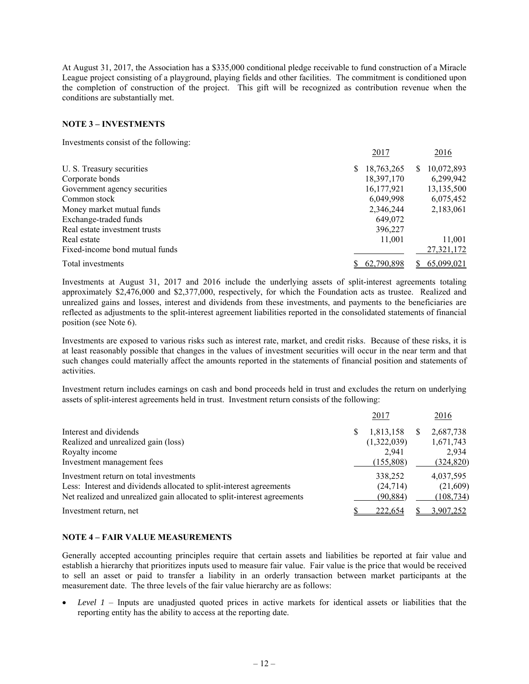At August 31, 2017, the Association has a \$335,000 conditional pledge receivable to fund construction of a Miracle League project consisting of a playground, playing fields and other facilities. The commitment is conditioned upon the completion of construction of the project. This gift will be recognized as contribution revenue when the conditions are substantially met.

## **NOTE 3 – INVESTMENTS**

Investments consist of the following:

|                                | 2017       | 2016            |
|--------------------------------|------------|-----------------|
| U. S. Treasury securities      | 18,763,265 | 10,072,893<br>S |
| Corporate bonds                | 18,397,170 | 6,299,942       |
| Government agency securities   | 16,177,921 | 13,135,500      |
| Common stock                   | 6,049,998  | 6,075,452       |
| Money market mutual funds      | 2,346,244  | 2,183,061       |
| Exchange-traded funds          | 649,072    |                 |
| Real estate investment trusts  | 396,227    |                 |
| Real estate                    | 11,001     | 11,001          |
| Fixed-income bond mutual funds |            | 27,321,172      |
| Total investments              | 62,790,898 | 65,099,021      |

Investments at August 31, 2017 and 2016 include the underlying assets of split-interest agreements totaling approximately \$2,476,000 and \$2,377,000, respectively, for which the Foundation acts as trustee. Realized and unrealized gains and losses, interest and dividends from these investments, and payments to the beneficiaries are reflected as adjustments to the split-interest agreement liabilities reported in the consolidated statements of financial position (see Note 6).

Investments are exposed to various risks such as interest rate, market, and credit risks. Because of these risks, it is at least reasonably possible that changes in the values of investment securities will occur in the near term and that such changes could materially affect the amounts reported in the statements of financial position and statements of activities.

Investment return includes earnings on cash and bond proceeds held in trust and excludes the return on underlying assets of split-interest agreements held in trust. Investment return consists of the following:

|                                                                         |   | 2017        |               | 2016       |
|-------------------------------------------------------------------------|---|-------------|---------------|------------|
| Interest and dividends                                                  | S | 1,813,158   | $\mathcal{L}$ | 2,687,738  |
| Realized and unrealized gain (loss)                                     |   | (1,322,039) |               | 1,671,743  |
| Royalty income                                                          |   | 2.941       |               | 2,934      |
| Investment management fees                                              |   | (155,808)   |               | (324, 820) |
| Investment return on total investments                                  |   | 338,252     |               | 4,037,595  |
| Less: Interest and dividends allocated to split-interest agreements     |   | (24, 714)   |               | (21,609)   |
| Net realized and unrealized gain allocated to split-interest agreements |   | (90, 884)   |               | (108, 734) |
| Investment return, net                                                  |   | 222,654     |               | 3,907,252  |

## **NOTE 4 – FAIR VALUE MEASUREMENTS**

Generally accepted accounting principles require that certain assets and liabilities be reported at fair value and establish a hierarchy that prioritizes inputs used to measure fair value. Fair value is the price that would be received to sell an asset or paid to transfer a liability in an orderly transaction between market participants at the measurement date. The three levels of the fair value hierarchy are as follows:

 *Level 1* – Inputs are unadjusted quoted prices in active markets for identical assets or liabilities that the reporting entity has the ability to access at the reporting date.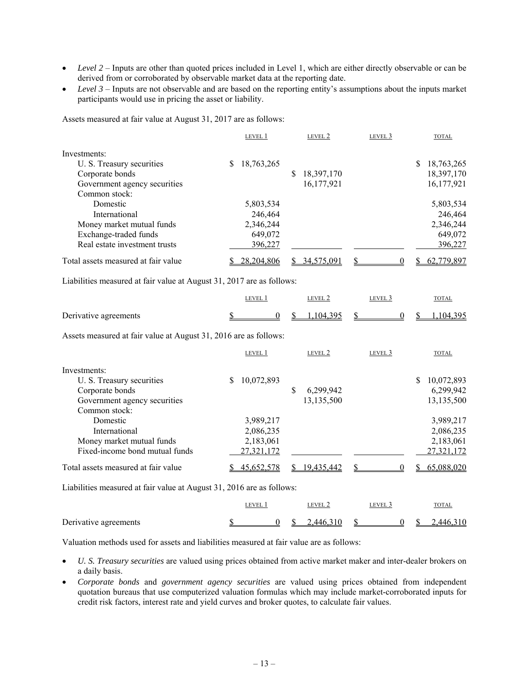- *Level 2* Inputs are other than quoted prices included in Level 1, which are either directly observable or can be derived from or corroborated by observable market data at the reporting date.
- Level 3 Inputs are not observable and are based on the reporting entity's assumptions about the inputs market participants would use in pricing the asset or liability.

Assets measured at fair value at August 31, 2017 are as follows:

|                                     | LEVEL 1    | LEVEL 2         | LEVEL <sub>3</sub> | <b>TOTAL</b>    |
|-------------------------------------|------------|-----------------|--------------------|-----------------|
| Investments:                        |            |                 |                    |                 |
| U. S. Treasury securities           | 18,763,265 |                 |                    | S<br>18,763,265 |
| Corporate bonds                     |            | 18,397,170<br>S |                    | 18,397,170      |
| Government agency securities        |            | 16,177,921      |                    | 16, 177, 921    |
| Common stock:                       |            |                 |                    |                 |
| Domestic                            | 5,803,534  |                 |                    | 5,803,534       |
| International                       | 246,464    |                 |                    | 246,464         |
| Money market mutual funds           | 2,346,244  |                 |                    | 2,346,244       |
| Exchange-traded funds               | 649,072    |                 |                    | 649,072         |
| Real estate investment trusts       | 396,227    |                 |                    | 396,227         |
| Total assets measured at fair value | 28,204,806 | 34,575,091      |                    | 62,779,897      |

Liabilities measured at fair value at August 31, 2017 are as follows:

|                       | <b>EVEL</b> |  | LEVEL 2     | LEVEL 3 |  | TOTAL   |
|-----------------------|-------------|--|-------------|---------|--|---------|
| Derivative agreements |             |  | $104395$ \$ |         |  | 104 395 |

Assets measured at fair value at August 31, 2016 are as follows:

|                                                                     | LEVEL 1         |   | LEVEL 2    | LEVEL 3 |    | <b>TOTAL</b> |
|---------------------------------------------------------------------|-----------------|---|------------|---------|----|--------------|
| Investments:                                                        |                 |   |            |         |    |              |
| U. S. Treasury securities                                           | 10,072,893<br>S |   |            |         | S  | 10,072,893   |
| Corporate bonds                                                     |                 | S | 6,299,942  |         |    | 6,299,942    |
| Government agency securities                                        |                 |   | 13,135,500 |         |    | 13,135,500   |
| Common stock:                                                       |                 |   |            |         |    |              |
| Domestic                                                            | 3,989,217       |   |            |         |    | 3,989,217    |
| International                                                       | 2.086.235       |   |            |         |    | 2,086,235    |
| Money market mutual funds                                           | 2,183,061       |   |            |         |    | 2,183,061    |
| Fixed-income bond mutual funds                                      | 27,321,172      |   |            |         |    | 27,321,172   |
| Total assets measured at fair value                                 | 45,652,578      |   | 19,435,442 |         | S. | 65,088,020   |
| Lightling magginal at fair value at August 21, 2016 are as follows: |                 |   |            |         |    |              |

Liabilities measured at fair value at August 31, 2016 are as follows:

|                       | <b>LEVEL</b> |  | LEVEL 2   | level 3 | <b>TOTAL</b> |
|-----------------------|--------------|--|-----------|---------|--------------|
| Derivative agreements |              |  | 2.446.310 |         | 2.446.310    |

Valuation methods used for assets and liabilities measured at fair value are as follows:

- *U. S. Treasury securities* are valued using prices obtained from active market maker and inter-dealer brokers on a daily basis.
- *Corporate bonds* and *government agency securities* are valued using prices obtained from independent quotation bureaus that use computerized valuation formulas which may include market-corroborated inputs for credit risk factors, interest rate and yield curves and broker quotes, to calculate fair values.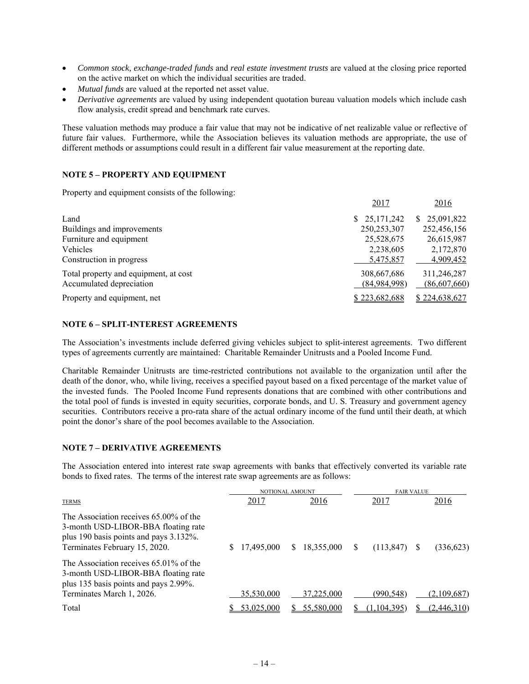- *Common stock, exchange-traded funds* and *real estate investment trusts* are valued at the closing price reported on the active market on which the individual securities are traded.
- *Mutual funds* are valued at the reported net asset value.
- *Derivative agreements* are valued by using independent quotation bureau valuation models which include cash flow analysis, credit spread and benchmark rate curves.

These valuation methods may produce a fair value that may not be indicative of net realizable value or reflective of future fair values. Furthermore, while the Association believes its valuation methods are appropriate, the use of different methods or assumptions could result in a different fair value measurement at the reporting date.

## **NOTE 5 – PROPERTY AND EQUIPMENT**

Property and equipment consists of the following:

|                                       | 2017          | 2016          |
|---------------------------------------|---------------|---------------|
| Land                                  | \$25,171,242  | \$25,091,822  |
| Buildings and improvements            | 250, 253, 307 | 252,456,156   |
| Furniture and equipment               | 25,528,675    | 26,615,987    |
| Vehicles                              | 2,238,605     | 2,172,870     |
| Construction in progress              | 5,475,857     | 4,909,452     |
| Total property and equipment, at cost | 308,667,686   | 311,246,287   |
| Accumulated depreciation              | (84,984,998)  | (86,607,660)  |
| Property and equipment, net           | \$223,682,688 | \$224,638,627 |

## **NOTE 6 – SPLIT-INTEREST AGREEMENTS**

The Association's investments include deferred giving vehicles subject to split-interest agreements. Two different types of agreements currently are maintained: Charitable Remainder Unitrusts and a Pooled Income Fund.

Charitable Remainder Unitrusts are time-restricted contributions not available to the organization until after the death of the donor, who, while living, receives a specified payout based on a fixed percentage of the market value of the invested funds. The Pooled Income Fund represents donations that are combined with other contributions and the total pool of funds is invested in equity securities, corporate bonds, and U. S. Treasury and government agency securities. Contributors receive a pro-rata share of the actual ordinary income of the fund until their death, at which point the donor's share of the pool becomes available to the Association.

## **NOTE 7 – DERIVATIVE AGREEMENTS**

The Association entered into interest rate swap agreements with banks that effectively converted its variable rate bonds to fixed rates. The terms of the interest rate swap agreements are as follows:

|                                                                                                                                                          |  | NOTIONAL AMOUNT |   |             | <b>FAIR VALUE</b> |             |  |             |
|----------------------------------------------------------------------------------------------------------------------------------------------------------|--|-----------------|---|-------------|-------------------|-------------|--|-------------|
| <b>TERMS</b>                                                                                                                                             |  | 2017            |   | <u>2016</u> |                   | 2017        |  | 2016        |
| The Association receives 65,00% of the<br>3-month USD-LIBOR-BBA floating rate<br>plus 190 basis points and pays 3.132%.<br>Terminates February 15, 2020. |  | 17,495,000      | S | 18,355,000  | S                 | (113, 847)  |  | (336,623)   |
| The Association receives $65.01\%$ of the<br>3-month USD-LIBOR-BBA floating rate<br>plus 135 basis points and pays 2.99%.<br>Terminates March 1, 2026.   |  | 35,530,000      |   | 37,225,000  |                   | (990,548)   |  | (2,109,687) |
| Total                                                                                                                                                    |  | 53.025.000      |   | 55,580,000  |                   | (1.104.395) |  | (2,446,310) |
|                                                                                                                                                          |  |                 |   |             |                   |             |  |             |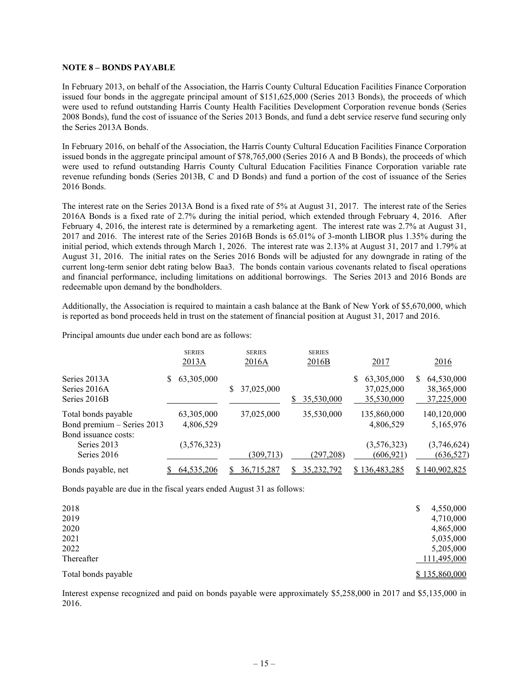### **NOTE 8 – BONDS PAYABLE**

In February 2013, on behalf of the Association, the Harris County Cultural Education Facilities Finance Corporation issued four bonds in the aggregate principal amount of \$151,625,000 (Series 2013 Bonds), the proceeds of which were used to refund outstanding Harris County Health Facilities Development Corporation revenue bonds (Series 2008 Bonds), fund the cost of issuance of the Series 2013 Bonds, and fund a debt service reserve fund securing only the Series 2013A Bonds.

In February 2016, on behalf of the Association, the Harris County Cultural Education Facilities Finance Corporation issued bonds in the aggregate principal amount of \$78,765,000 (Series 2016 A and B Bonds), the proceeds of which were used to refund outstanding Harris County Cultural Education Facilities Finance Corporation variable rate revenue refunding bonds (Series 2013B, C and D Bonds) and fund a portion of the cost of issuance of the Series 2016 Bonds.

The interest rate on the Series 2013A Bond is a fixed rate of 5% at August 31, 2017. The interest rate of the Series 2016A Bonds is a fixed rate of 2.7% during the initial period, which extended through February 4, 2016. After February 4, 2016, the interest rate is determined by a remarketing agent. The interest rate was 2.7% at August 31, 2017 and 2016. The interest rate of the Series 2016B Bonds is 65.01% of 3-month LIBOR plus 1.35% during the initial period, which extends through March 1, 2026. The interest rate was 2.13% at August 31, 2017 and 1.79% at August 31, 2016. The initial rates on the Series 2016 Bonds will be adjusted for any downgrade in rating of the current long-term senior debt rating below Baa3. The bonds contain various covenants related to fiscal operations and financial performance, including limitations on additional borrowings. The Series 2013 and 2016 Bonds are redeemable upon demand by the bondholders.

Additionally, the Association is required to maintain a cash balance at the Bank of New York of \$5,670,000, which is reported as bond proceeds held in trust on the statement of financial position at August 31, 2017 and 2016.

Principal amounts due under each bond are as follows:

|                                                                           | <b>SERIES</b><br>2013A  | <b>SERIES</b><br>2016A |   | <b>SERIES</b><br>2016B |   | 2017                                   |    | 2016                                     |
|---------------------------------------------------------------------------|-------------------------|------------------------|---|------------------------|---|----------------------------------------|----|------------------------------------------|
| Series 2013A<br>Series 2016A<br>Series 2016B                              | 63,305,000<br>S         | 37,025,000             | S | 35,530,000             | S | 63,305,000<br>37,025,000<br>35,530,000 | S. | 64,530,000<br>38, 365, 000<br>37,225,000 |
| Total bonds payable<br>Bond premium - Series 2013<br>Bond issuance costs: | 63,305,000<br>4,806,529 | 37,025,000             |   | 35,530,000             |   | 135,860,000<br>4,806,529               |    | 140,120,000<br>5,165,976                 |
| Series 2013<br>Series 2016                                                | (3,576,323)             | (309, 713)             |   | (297, 208)             |   | (3,576,323)<br>(606, 921)              |    | (3,746,624)<br>(636, 527)                |
| Bonds payable, net                                                        | 64,535,206              | 36,715,287             |   | 35,232,792             |   | \$136,483,285                          |    | 140.902.825                              |

Bonds payable are due in the fiscal years ended August 31 as follows:

| 2018                | 4,550,000<br>\$ |
|---------------------|-----------------|
| 2019                | 4,710,000       |
| 2020                | 4,865,000       |
| 2021                | 5,035,000       |
| 2022                | 5,205,000       |
| Thereafter          | 111,495,000     |
| Total bonds payable | \$135,860,000   |

Interest expense recognized and paid on bonds payable were approximately \$5,258,000 in 2017 and \$5,135,000 in 2016.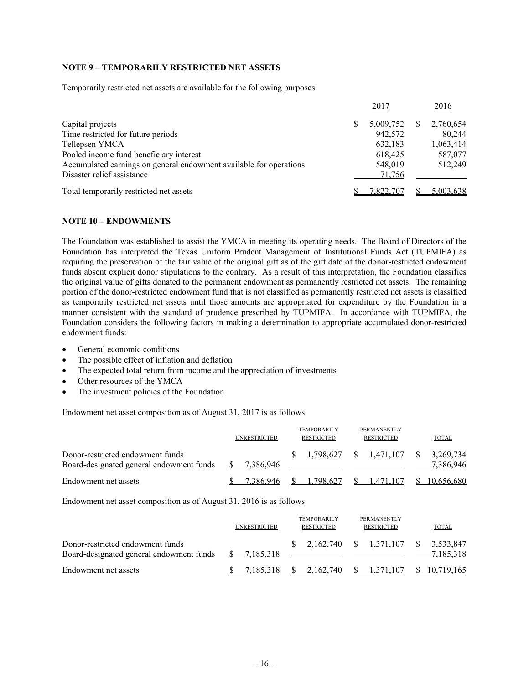## **NOTE 9 – TEMPORARILY RESTRICTED NET ASSETS**

Temporarily restricted net assets are available for the following purposes:

|                                                                    | 2017      | 2016      |
|--------------------------------------------------------------------|-----------|-----------|
| Capital projects                                                   | 5,009,752 | 2,760,654 |
| Time restricted for future periods                                 | 942,572   | 80,244    |
| Tellepsen YMCA                                                     | 632,183   | 1,063,414 |
| Pooled income fund beneficiary interest                            | 618,425   | 587,077   |
| Accumulated earnings on general endowment available for operations | 548,019   | 512,249   |
| Disaster relief assistance                                         | 71,756    |           |
| Total temporarily restricted net assets                            | 7,822,707 | 5,003,638 |

### **NOTE 10 – ENDOWMENTS**

The Foundation was established to assist the YMCA in meeting its operating needs. The Board of Directors of the Foundation has interpreted the Texas Uniform Prudent Management of Institutional Funds Act (TUPMIFA) as requiring the preservation of the fair value of the original gift as of the gift date of the donor-restricted endowment funds absent explicit donor stipulations to the contrary. As a result of this interpretation, the Foundation classifies the original value of gifts donated to the permanent endowment as permanently restricted net assets. The remaining portion of the donor-restricted endowment fund that is not classified as permanently restricted net assets is classified as temporarily restricted net assets until those amounts are appropriated for expenditure by the Foundation in a manner consistent with the standard of prudence prescribed by TUPMIFA. In accordance with TUPMIFA, the Foundation considers the following factors in making a determination to appropriate accumulated donor-restricted endowment funds:

- General economic conditions
- The possible effect of inflation and deflation
- The expected total return from income and the appreciation of investments
- Other resources of the YMCA
- The investment policies of the Foundation

Endowment net asset composition as of August 31, 2017 is as follows:

|                                                                              | <b>UNRESTRICTED</b> | <b>TEMPORARILY</b><br><b>RESTRICTED</b> |    | PERMANENTLY<br><b>RESTRICTED</b> | <b>TOTAL</b>           |
|------------------------------------------------------------------------------|---------------------|-----------------------------------------|----|----------------------------------|------------------------|
| Donor-restricted endowment funds<br>Board-designated general endowment funds | 7.386.946           |                                         |    | 1.798.627 \$ 1.471.107 \$        | 3.269.734<br>7,386,946 |
| Endowment net assets                                                         | 7.386.946           | 1.798.627                               | S. | 1.471.107                        | 10,656,680             |

Endowment net asset composition as of August 31, 2016 is as follows:

|                                                                              | <b>UNRESTRICTED</b> | <b>TEMPORARILY</b><br><b>RESTRICTED</b> | PERMANENTLY<br><b>RESTRICTED</b>                                                  | TOTAL      |
|------------------------------------------------------------------------------|---------------------|-----------------------------------------|-----------------------------------------------------------------------------------|------------|
| Donor-restricted endowment funds<br>Board-designated general endowment funds | 7,185,318           |                                         | $\frac{\$}{\$}$ 2.162.740 \ $\frac{\$}{\$}$ 1.371.107 \ $\frac{\$}{\$}$ 3.533.847 | 7.185.318  |
| Endowment net assets                                                         | 7.185.318           | 2.162.740                               | 1.371.107                                                                         | 10.719.165 |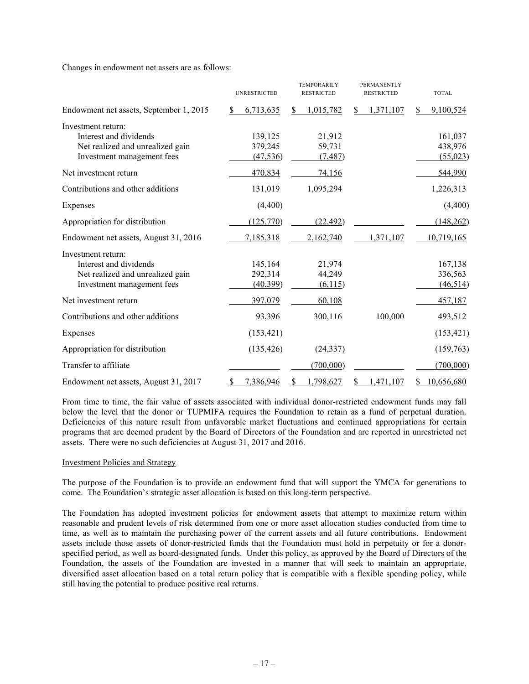Changes in endowment net assets are as follows:

|                                                                                                                | <b>UNRESTRICTED</b>             | <b>TEMPORARILY</b><br><b>RESTRICTED</b> | <b>PERMANENTLY</b><br><b>RESTRICTED</b> | <b>TOTAL</b>                    |
|----------------------------------------------------------------------------------------------------------------|---------------------------------|-----------------------------------------|-----------------------------------------|---------------------------------|
| Endowment net assets, September 1, 2015                                                                        | 6,713,635                       | 1,015,782<br><sup>S</sup>               | 1,371,107<br>S                          | 9,100,524                       |
| Investment return:<br>Interest and dividends<br>Net realized and unrealized gain<br>Investment management fees | 139,125<br>379,245<br>(47, 536) | 21,912<br>59,731<br>(7, 487)            |                                         | 161,037<br>438,976<br>(55, 023) |
| Net investment return                                                                                          | 470,834                         | 74,156                                  |                                         | 544,990                         |
| Contributions and other additions                                                                              | 131,019                         | 1,095,294                               |                                         | 1,226,313                       |
| Expenses                                                                                                       | (4,400)                         |                                         |                                         | (4,400)                         |
| Appropriation for distribution                                                                                 | (125,770)                       | (22, 492)                               |                                         | (148, 262)                      |
| Endowment net assets, August 31, 2016                                                                          | 7,185,318                       | 2,162,740                               | 1,371,107                               | 10,719,165                      |
| Investment return:<br>Interest and dividends<br>Net realized and unrealized gain<br>Investment management fees | 145,164<br>292,314<br>(40,399)  | 21,974<br>44,249<br>(6,115)             |                                         | 167,138<br>336,563<br>(46, 514) |
| Net investment return                                                                                          | 397,079                         | 60,108                                  |                                         | 457,187                         |
| Contributions and other additions                                                                              | 93,396                          | 300,116                                 | 100,000                                 | 493,512                         |
| Expenses                                                                                                       | (153, 421)                      |                                         |                                         | (153, 421)                      |
| Appropriation for distribution                                                                                 | (135, 426)                      | (24, 337)                               |                                         | (159,763)                       |
| Transfer to affiliate                                                                                          |                                 | (700,000)                               |                                         | (700,000)                       |
| Endowment net assets, August 31, 2017                                                                          | 7,386,946<br>S                  | 1,798,627<br>S                          | 1,471,107<br>S                          | 10,656,680<br>S                 |

From time to time, the fair value of assets associated with individual donor-restricted endowment funds may fall below the level that the donor or TUPMIFA requires the Foundation to retain as a fund of perpetual duration. Deficiencies of this nature result from unfavorable market fluctuations and continued appropriations for certain programs that are deemed prudent by the Board of Directors of the Foundation and are reported in unrestricted net assets. There were no such deficiencies at August 31, 2017 and 2016.

## Investment Policies and Strategy

The purpose of the Foundation is to provide an endowment fund that will support the YMCA for generations to come. The Foundation's strategic asset allocation is based on this long-term perspective.

The Foundation has adopted investment policies for endowment assets that attempt to maximize return within reasonable and prudent levels of risk determined from one or more asset allocation studies conducted from time to time, as well as to maintain the purchasing power of the current assets and all future contributions. Endowment assets include those assets of donor-restricted funds that the Foundation must hold in perpetuity or for a donorspecified period, as well as board-designated funds. Under this policy, as approved by the Board of Directors of the Foundation, the assets of the Foundation are invested in a manner that will seek to maintain an appropriate, diversified asset allocation based on a total return policy that is compatible with a flexible spending policy, while still having the potential to produce positive real returns.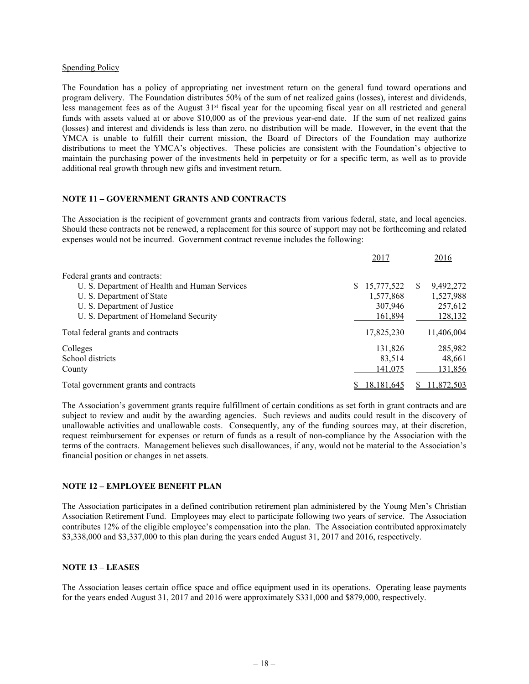### Spending Policy

The Foundation has a policy of appropriating net investment return on the general fund toward operations and program delivery. The Foundation distributes 50% of the sum of net realized gains (losses), interest and dividends, less management fees as of the August 31<sup>st</sup> fiscal year for the upcoming fiscal year on all restricted and general funds with assets valued at or above \$10,000 as of the previous year-end date. If the sum of net realized gains (losses) and interest and dividends is less than zero, no distribution will be made. However, in the event that the YMCA is unable to fulfill their current mission, the Board of Directors of the Foundation may authorize distributions to meet the YMCA's objectives. These policies are consistent with the Foundation's objective to maintain the purchasing power of the investments held in perpetuity or for a specific term, as well as to provide additional real growth through new gifts and investment return.

## **NOTE 11 – GOVERNMENT GRANTS AND CONTRACTS**

The Association is the recipient of government grants and contracts from various federal, state, and local agencies. Should these contracts not be renewed, a replacement for this source of support may not be forthcoming and related expenses would not be incurred. Government contract revenue includes the following:

|                                               | 2017         | 2016                       |
|-----------------------------------------------|--------------|----------------------------|
| Federal grants and contracts:                 |              |                            |
| U. S. Department of Health and Human Services | \$15,777,522 | 9,492,272<br><sup>\$</sup> |
| U. S. Department of State                     | 1,577,868    | 1,527,988                  |
| U. S. Department of Justice                   | 307,946      | 257,612                    |
| U. S. Department of Homeland Security         | 161,894      | 128,132                    |
| Total federal grants and contracts            | 17,825,230   | 11,406,004                 |
| Colleges                                      | 131,826      | 285,982                    |
| School districts                              | 83,514       | 48,661                     |
| County                                        | 141,075      | 131,856                    |
| Total government grants and contracts         | 18.181.645   | 11,872,503                 |

The Association's government grants require fulfillment of certain conditions as set forth in grant contracts and are subject to review and audit by the awarding agencies. Such reviews and audits could result in the discovery of unallowable activities and unallowable costs. Consequently, any of the funding sources may, at their discretion, request reimbursement for expenses or return of funds as a result of non-compliance by the Association with the terms of the contracts. Management believes such disallowances, if any, would not be material to the Association's financial position or changes in net assets.

## **NOTE 12 – EMPLOYEE BENEFIT PLAN**

The Association participates in a defined contribution retirement plan administered by the Young Men's Christian Association Retirement Fund. Employees may elect to participate following two years of service. The Association contributes 12% of the eligible employee's compensation into the plan. The Association contributed approximately \$3,338,000 and \$3,337,000 to this plan during the years ended August 31, 2017 and 2016, respectively.

## **NOTE 13 – LEASES**

The Association leases certain office space and office equipment used in its operations. Operating lease payments for the years ended August 31, 2017 and 2016 were approximately \$331,000 and \$879,000, respectively.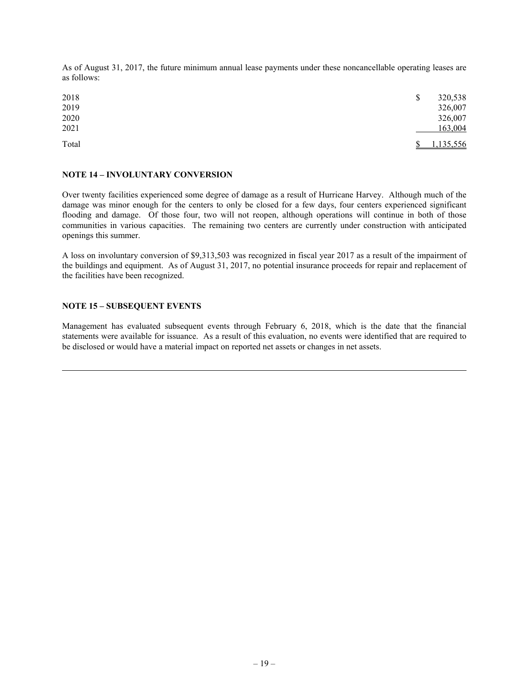As of August 31, 2017, the future minimum annual lease payments under these noncancellable operating leases are as follows:

| 2018<br>2019 | \$<br>320,538<br>326,007 |
|--------------|--------------------------|
| 2020<br>2021 | 326,007<br>163,004       |
| Total        | 1,135,556                |

## **NOTE 14 – INVOLUNTARY CONVERSION**

Over twenty facilities experienced some degree of damage as a result of Hurricane Harvey. Although much of the damage was minor enough for the centers to only be closed for a few days, four centers experienced significant flooding and damage. Of those four, two will not reopen, although operations will continue in both of those communities in various capacities. The remaining two centers are currently under construction with anticipated openings this summer.

A loss on involuntary conversion of \$9,313,503 was recognized in fiscal year 2017 as a result of the impairment of the buildings and equipment. As of August 31, 2017, no potential insurance proceeds for repair and replacement of the facilities have been recognized.

### **NOTE 15 – SUBSEQUENT EVENTS**

Management has evaluated subsequent events through February 6, 2018, which is the date that the financial statements were available for issuance. As a result of this evaluation, no events were identified that are required to be disclosed or would have a material impact on reported net assets or changes in net assets.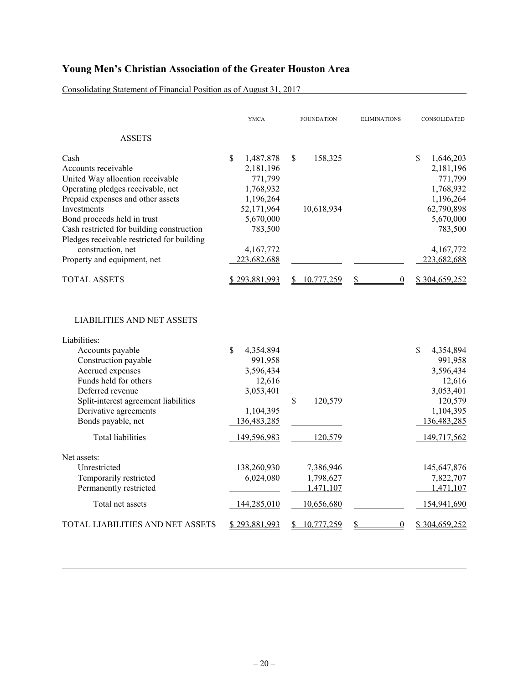Consolidating Statement of Financial Position as of August 31, 2017

|                                                                                                                                                                                                                                                                                   | <b>YMCA</b>                                                                                               | <b>FOUNDATION</b>                                 | <b>ELIMINATIONS</b>    | CONSOLIDATED                                                                                                                   |
|-----------------------------------------------------------------------------------------------------------------------------------------------------------------------------------------------------------------------------------------------------------------------------------|-----------------------------------------------------------------------------------------------------------|---------------------------------------------------|------------------------|--------------------------------------------------------------------------------------------------------------------------------|
| <b>ASSETS</b>                                                                                                                                                                                                                                                                     |                                                                                                           |                                                   |                        |                                                                                                                                |
| Cash<br>Accounts receivable<br>United Way allocation receivable<br>Operating pledges receivable, net<br>Prepaid expenses and other assets                                                                                                                                         | \$<br>1,487,878<br>2,181,196<br>771,799<br>1,768,932<br>1,196,264                                         | 158,325<br>\$                                     |                        | $\mathbb{S}$<br>1,646,203<br>2,181,196<br>771,799<br>1,768,932<br>1,196,264                                                    |
| Investments<br>Bond proceeds held in trust<br>Cash restricted for building construction<br>Pledges receivable restricted for building                                                                                                                                             | 52,171,964<br>5,670,000<br>783,500                                                                        | 10,618,934                                        |                        | 62,790,898<br>5,670,000<br>783,500                                                                                             |
| construction, net                                                                                                                                                                                                                                                                 | 4,167,772                                                                                                 |                                                   |                        | 4,167,772                                                                                                                      |
| Property and equipment, net                                                                                                                                                                                                                                                       | 223,682,688                                                                                               |                                                   |                        | 223,682,688                                                                                                                    |
| <b>TOTAL ASSETS</b>                                                                                                                                                                                                                                                               | \$293,881,993                                                                                             | 10,777,259                                        | \$<br>$\boldsymbol{0}$ | \$304,659,252                                                                                                                  |
| <b>LIABILITIES AND NET ASSETS</b><br>Liabilities:<br>Accounts payable<br>Construction payable<br>Accrued expenses<br>Funds held for others<br>Deferred revenue<br>Split-interest agreement liabilities<br>Derivative agreements<br>Bonds payable, net<br><b>Total liabilities</b> | \$<br>4,354,894<br>991,958<br>3,596,434<br>12,616<br>3,053,401<br>1,104,395<br>136,483,285<br>149,596,983 | \$<br>120,579<br>120,579                          |                        | $\mathbb{S}$<br>4,354,894<br>991,958<br>3,596,434<br>12,616<br>3,053,401<br>120,579<br>1,104,395<br>136,483,285<br>149,717,562 |
| Net assets:<br>Unrestricted<br>Temporarily restricted<br>Permanently restricted<br>Total net assets                                                                                                                                                                               | 138,260,930<br>6,024,080<br>144,285,010                                                                   | 7,386,946<br>1,798,627<br>1,471,107<br>10,656,680 |                        | 145,647,876<br>7,822,707<br>1,471,107<br>154,941,690                                                                           |
| TOTAL LIABILITIES AND NET ASSETS                                                                                                                                                                                                                                                  | \$293,881,993                                                                                             | 10,777,259<br>\$                                  | \$<br>$\boldsymbol{0}$ | \$304,659,252                                                                                                                  |